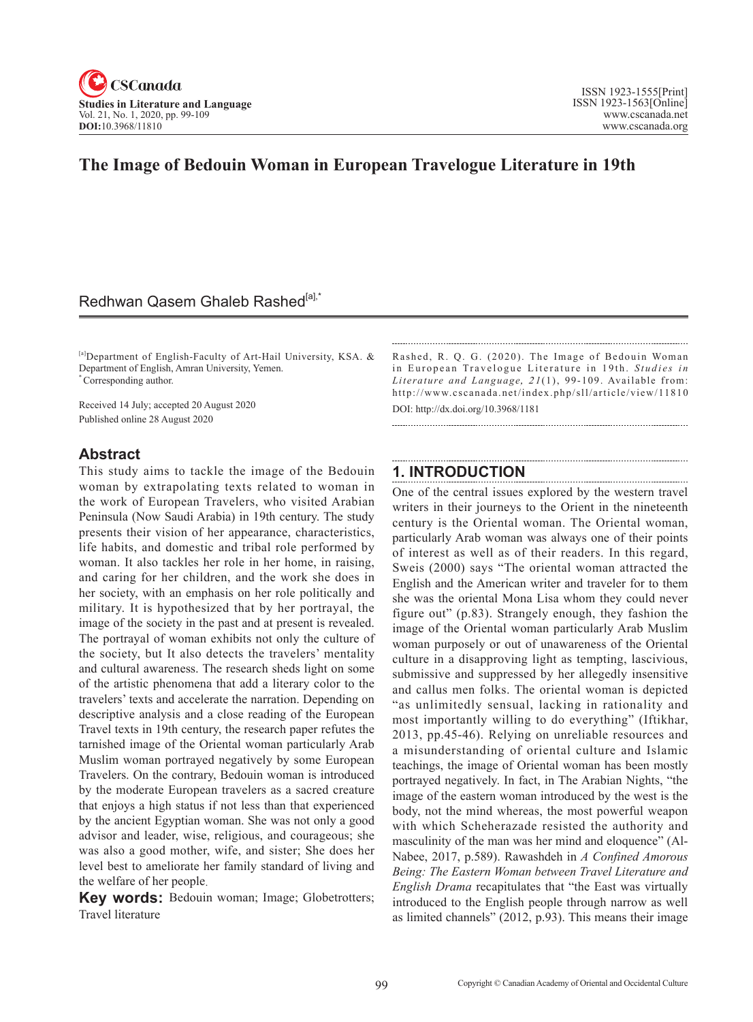

# **The Image of Bedouin Woman in European Travelogue Literature in 19th**

## Redhwan Qasem Ghaleb Rashed<sup>[a],\*</sup>

[a]Department of English-Faculty of Art-Hail University, KSA. & Department of English, Amran University, Yemen. \* Corresponding author.

Received 14 July; accepted 20 August 2020 Published online 28 August 2020

## **Abstract**

This study aims to tackle the image of the Bedouin woman by extrapolating texts related to woman in the work of European Travelers, who visited Arabian Peninsula (Now Saudi Arabia) in 19th century. The study presents their vision of her appearance, characteristics, life habits, and domestic and tribal role performed by woman. It also tackles her role in her home, in raising, and caring for her children, and the work she does in her society, with an emphasis on her role politically and military. It is hypothesized that by her portrayal, the image of the society in the past and at present is revealed. The portrayal of woman exhibits not only the culture of the society, but It also detects the travelers' mentality and cultural awareness. The research sheds light on some of the artistic phenomena that add a literary color to the travelers' texts and accelerate the narration. Depending on descriptive analysis and a close reading of the European Travel texts in 19th century, the research paper refutes the tarnished image of the Oriental woman particularly Arab Muslim woman portrayed negatively by some European Travelers. On the contrary, Bedouin woman is introduced by the moderate European travelers as a sacred creature that enjoys a high status if not less than that experienced by the ancient Egyptian woman. She was not only a good advisor and leader, wise, religious, and courageous; she was also a good mother, wife, and sister; She does her level best to ameliorate her family standard of living and the welfare of her people.

Key words: Bedouin woman; Image; Globetrotters; Travel literature

Rashed, R. Q. G. (2020). The Image of Bedouin Woman in European Travelogue Literature in 19th. *Studies in* Literature and Language, 21(1), 99-109. Available from: http://www.cscanada.net/index.php/sll/article/view/11810 DOI: http://dx.doi.org/10.3968/1181

## **1. INTRODUCTION**

One of the central issues explored by the western travel writers in their journeys to the Orient in the nineteenth century is the Oriental woman. The Oriental woman, particularly Arab woman was always one of their points of interest as well as of their readers. In this regard, Sweis (2000) says "The oriental woman attracted the English and the American writer and traveler for to them she was the oriental Mona Lisa whom they could never figure out" (p.83). Strangely enough, they fashion the image of the Oriental woman particularly Arab Muslim woman purposely or out of unawareness of the Oriental culture in a disapproving light as tempting, lascivious, submissive and suppressed by her allegedly insensitive and callus men folks. The oriental woman is depicted "as unlimitedly sensual, lacking in rationality and most importantly willing to do everything" (Iftikhar, 2013, pp.45-46). Relying on unreliable resources and a misunderstanding of oriental culture and Islamic teachings, the image of Oriental woman has been mostly portrayed negatively. In fact, in The Arabian Nights, "the image of the eastern woman introduced by the west is the body, not the mind whereas, the most powerful weapon with which Scheherazade resisted the authority and masculinity of the man was her mind and eloquence" (Al-Nabee, 2017, p.589). Rawashdeh in *A Confined Amorous Being: The Eastern Woman between Travel Literature and English Drama* recapitulates that "the East was virtually introduced to the English people through narrow as well as limited channels" (2012, p.93). This means their image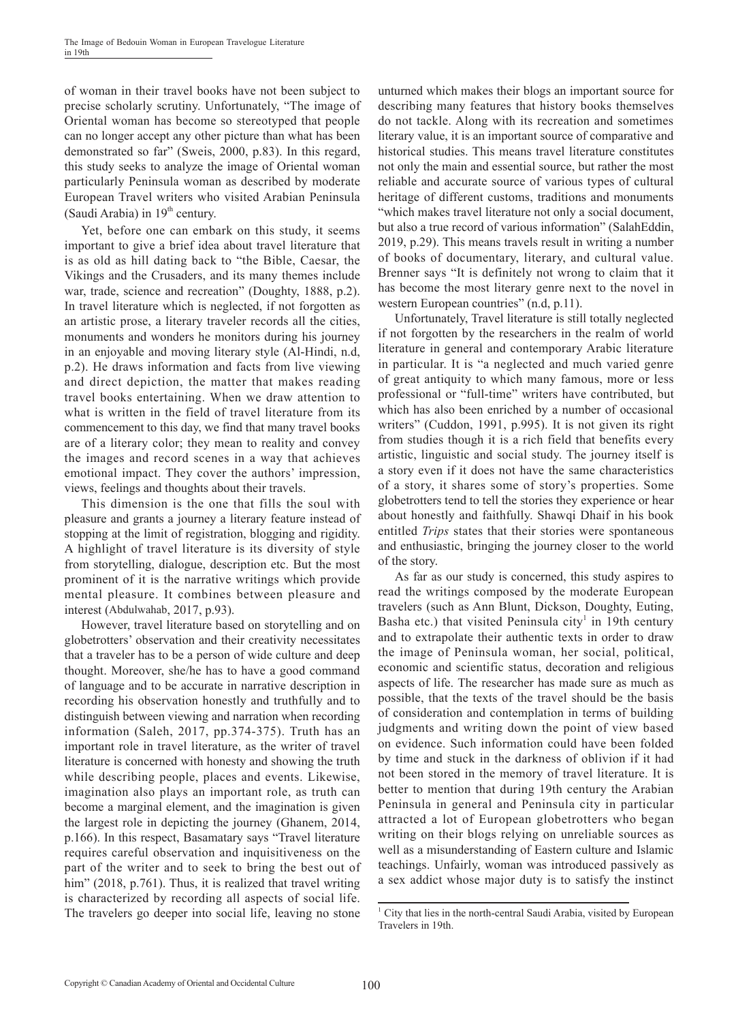of woman in their travel books have not been subject to precise scholarly scrutiny. Unfortunately, "The image of Oriental woman has become so stereotyped that people can no longer accept any other picture than what has been demonstrated so far" (Sweis, 2000, p.83). In this regard, this study seeks to analyze the image of Oriental woman particularly Peninsula woman as described by moderate European Travel writers who visited Arabian Peninsula (Saudi Arabia) in  $19<sup>th</sup>$  century.

Yet, before one can embark on this study, it seems important to give a brief idea about travel literature that is as old as hill dating back to "the Bible, Caesar, the Vikings and the Crusaders, and its many themes include war, trade, science and recreation" (Doughty, 1888, p.2). In travel literature which is neglected, if not forgotten as an artistic prose, a literary traveler records all the cities, monuments and wonders he monitors during his journey in an enjoyable and moving literary style (Al-Hindi, n.d, p.2). He draws information and facts from live viewing and direct depiction, the matter that makes reading travel books entertaining. When we draw attention to what is written in the field of travel literature from its commencement to this day, we find that many travel books are of a literary color; they mean to reality and convey the images and record scenes in a way that achieves emotional impact. They cover the authors' impression, views, feelings and thoughts about their travels.

This dimension is the one that fills the soul with pleasure and grants a journey a literary feature instead of stopping at the limit of registration, blogging and rigidity. A highlight of travel literature is its diversity of style from storytelling, dialogue, description etc. But the most prominent of it is the narrative writings which provide mental pleasure. It combines between pleasure and interest (Abdulwahab, 2017, p.93).

However, travel literature based on storytelling and on globetrotters' observation and their creativity necessitates that a traveler has to be a person of wide culture and deep thought. Moreover, she/he has to have a good command of language and to be accurate in narrative description in recording his observation honestly and truthfully and to distinguish between viewing and narration when recording information (Saleh, 2017, pp.374-375). Truth has an important role in travel literature, as the writer of travel literature is concerned with honesty and showing the truth while describing people, places and events. Likewise, imagination also plays an important role, as truth can become a marginal element, and the imagination is given the largest role in depicting the journey (Ghanem, 2014, p.166). In this respect, Basamatary says "Travel literature requires careful observation and inquisitiveness on the part of the writer and to seek to bring the best out of him" (2018, p.761). Thus, it is realized that travel writing is characterized by recording all aspects of social life. The travelers go deeper into social life, leaving no stone

unturned which makes their blogs an important source for describing many features that history books themselves do not tackle. Along with its recreation and sometimes literary value, it is an important source of comparative and historical studies. This means travel literature constitutes not only the main and essential source, but rather the most reliable and accurate source of various types of cultural heritage of different customs, traditions and monuments "which makes travel literature not only a social document, but also a true record of various information" (SalahEddin, 2019, p.29). This means travels result in writing a number of books of documentary, literary, and cultural value. Brenner says "It is definitely not wrong to claim that it has become the most literary genre next to the novel in western European countries" (n.d, p.11).

Unfortunately, Travel literature is still totally neglected if not forgotten by the researchers in the realm of world literature in general and contemporary Arabic literature in particular. It is "a neglected and much varied genre of great antiquity to which many famous, more or less professional or "full-time" writers have contributed, but which has also been enriched by a number of occasional writers" (Cuddon, 1991, p.995). It is not given its right from studies though it is a rich field that benefits every artistic, linguistic and social study. The journey itself is a story even if it does not have the same characteristics of a story, it shares some of story's properties. Some globetrotters tend to tell the stories they experience or hear about honestly and faithfully. Shawqi Dhaif in his book entitled *Trips* states that their stories were spontaneous and enthusiastic, bringing the journey closer to the world of the story.

As far as our study is concerned, this study aspires to read the writings composed by the moderate European travelers (such as Ann Blunt, Dickson, Doughty, Euting, Basha etc.) that visited Peninsula city<sup>1</sup> in 19th century and to extrapolate their authentic texts in order to draw the image of Peninsula woman, her social, political, economic and scientific status, decoration and religious aspects of life. The researcher has made sure as much as possible, that the texts of the travel should be the basis of consideration and contemplation in terms of building judgments and writing down the point of view based on evidence. Such information could have been folded by time and stuck in the darkness of oblivion if it had not been stored in the memory of travel literature. It is better to mention that during 19th century the Arabian Peninsula in general and Peninsula city in particular attracted a lot of European globetrotters who began writing on their blogs relying on unreliable sources as well as a misunderstanding of Eastern culture and Islamic teachings. Unfairly, woman was introduced passively as a sex addict whose major duty is to satisfy the instinct

<sup>1</sup> City that lies in the north-central Saudi Arabia, visited by European Travelers in 19th.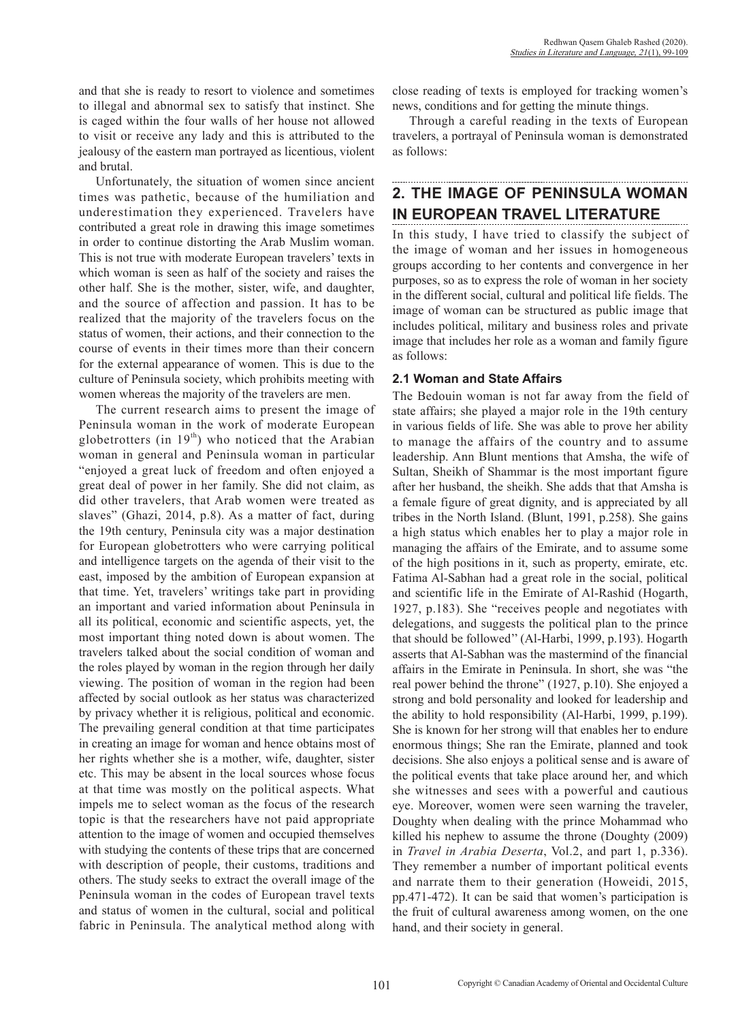and that she is ready to resort to violence and sometimes to illegal and abnormal sex to satisfy that instinct. She is caged within the four walls of her house not allowed to visit or receive any lady and this is attributed to the jealousy of the eastern man portrayed as licentious, violent and brutal.

Unfortunately, the situation of women since ancient times was pathetic, because of the humiliation and underestimation they experienced. Travelers have contributed a great role in drawing this image sometimes in order to continue distorting the Arab Muslim woman. This is not true with moderate European travelers' texts in which woman is seen as half of the society and raises the other half. She is the mother, sister, wife, and daughter, and the source of affection and passion. It has to be realized that the majority of the travelers focus on the status of women, their actions, and their connection to the course of events in their times more than their concern for the external appearance of women. This is due to the culture of Peninsula society, which prohibits meeting with women whereas the majority of the travelers are men.

The current research aims to present the image of Peninsula woman in the work of moderate European globetrotters (in  $19<sup>th</sup>$ ) who noticed that the Arabian woman in general and Peninsula woman in particular "enjoyed a great luck of freedom and often enjoyed a great deal of power in her family. She did not claim, as did other travelers, that Arab women were treated as slaves" (Ghazi, 2014, p.8). As a matter of fact, during the 19th century, Peninsula city was a major destination for European globetrotters who were carrying political and intelligence targets on the agenda of their visit to the east, imposed by the ambition of European expansion at that time. Yet, travelers' writings take part in providing an important and varied information about Peninsula in all its political, economic and scientific aspects, yet, the most important thing noted down is about women. The travelers talked about the social condition of woman and the roles played by woman in the region through her daily viewing. The position of woman in the region had been affected by social outlook as her status was characterized by privacy whether it is religious, political and economic. The prevailing general condition at that time participates in creating an image for woman and hence obtains most of her rights whether she is a mother, wife, daughter, sister etc. This may be absent in the local sources whose focus at that time was mostly on the political aspects. What impels me to select woman as the focus of the research topic is that the researchers have not paid appropriate attention to the image of women and occupied themselves with studying the contents of these trips that are concerned with description of people, their customs, traditions and others. The study seeks to extract the overall image of the Peninsula woman in the codes of European travel texts and status of women in the cultural, social and political fabric in Peninsula. The analytical method along with close reading of texts is employed for tracking women's news, conditions and for getting the minute things.

Through a careful reading in the texts of European travelers, a portrayal of Peninsula woman is demonstrated as follows:

# **2. THE IMAGE OF PENINSULA WOMAN IN EUROPEAN TRAVEL LITERATURE**

In this study, I have tried to classify the subject of the image of woman and her issues in homogeneous groups according to her contents and convergence in her purposes, so as to express the role of woman in her society in the different social, cultural and political life fields. The image of woman can be structured as public image that includes political, military and business roles and private image that includes her role as a woman and family figure as follows:

## **2.1 Woman and State Affairs**

The Bedouin woman is not far away from the field of state affairs; she played a major role in the 19th century in various fields of life. She was able to prove her ability to manage the affairs of the country and to assume leadership. Ann Blunt mentions that Amsha, the wife of Sultan, Sheikh of Shammar is the most important figure after her husband, the sheikh. She adds that that Amsha is a female figure of great dignity, and is appreciated by all tribes in the North Island. (Blunt, 1991, p.258). She gains a high status which enables her to play a major role in managing the affairs of the Emirate, and to assume some of the high positions in it, such as property, emirate, etc. Fatima Al-Sabhan had a great role in the social, political and scientific life in the Emirate of Al-Rashid (Hogarth, 1927, p.183). She "receives people and negotiates with delegations, and suggests the political plan to the prince that should be followed'' (Al-Harbi, 1999, p.193). Hogarth asserts that Al-Sabhan was the mastermind of the financial affairs in the Emirate in Peninsula. In short, she was "the real power behind the throne" (1927, p.10). She enjoyed a strong and bold personality and looked for leadership and the ability to hold responsibility (Al-Harbi, 1999, p.199). She is known for her strong will that enables her to endure enormous things; She ran the Emirate, planned and took decisions. She also enjoys a political sense and is aware of the political events that take place around her, and which she witnesses and sees with a powerful and cautious eye. Moreover, women were seen warning the traveler, Doughty when dealing with the prince Mohammad who killed his nephew to assume the throne (Doughty (2009) in *Travel in Arabia Deserta*, Vol.2, and part 1, p.336). They remember a number of important political events and narrate them to their generation (Howeidi, 2015, pp.471-472). It can be said that women's participation is the fruit of cultural awareness among women, on the one hand, and their society in general.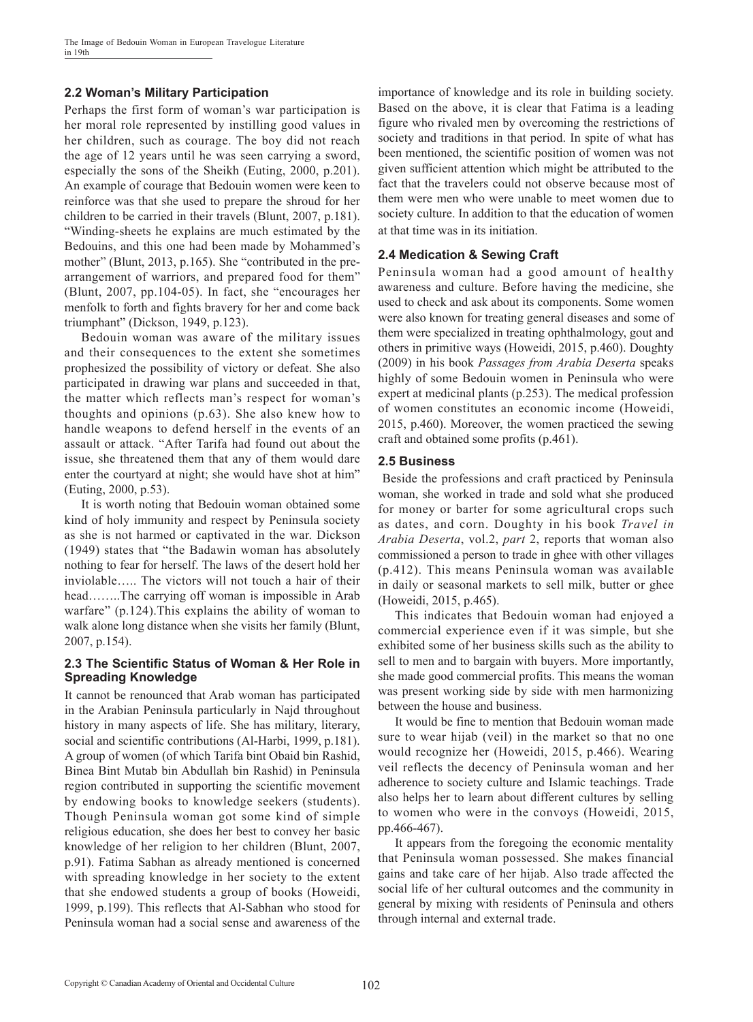## **2.2 Woman's military participation**

Perhaps the first form of woman's war participation is her moral role represented by instilling good values in her children, such as courage. The boy did not reach the age of 12 years until he was seen carrying a sword, especially the sons of the Sheikh (Euting, 2000, p.201). An example of courage that Bedouin women were keen to reinforce was that she used to prepare the shroud for her children to be carried in their travels (Blunt, 2007, p.181). "Winding-sheets he explains are much estimated by the Bedouins, and this one had been made by Mohammed's mother" (Blunt, 2013, p.165). She "contributed in the prearrangement of warriors, and prepared food for them" (Blunt, 2007, pp.104-05). In fact, she "encourages her menfolk to forth and fights bravery for her and come back triumphant" (Dickson, 1949, p.123).

Bedouin woman was aware of the military issues and their consequences to the extent she sometimes prophesized the possibility of victory or defeat. She also participated in drawing war plans and succeeded in that, the matter which reflects man's respect for woman's thoughts and opinions (p.63). She also knew how to handle weapons to defend herself in the events of an assault or attack. "After Tarifa had found out about the issue, she threatened them that any of them would dare enter the courtyard at night; she would have shot at him" (Euting, 2000, p.53).

It is worth noting that Bedouin woman obtained some kind of holy immunity and respect by Peninsula society as she is not harmed or captivated in the war. Dickson (1949) states that "the Badawin woman has absolutely nothing to fear for herself. The laws of the desert hold her inviolable….. The victors will not touch a hair of their head……..The carrying off woman is impossible in Arab warfare" (p.124). This explains the ability of woman to walk alone long distance when she visits her family (Blunt, 2007, p.154).

#### **2.3 The scientific Status of woman & Her role in Spreading Knowledge**

It cannot be renounced that Arab woman has participated in the Arabian Peninsula particularly in Najd throughout history in many aspects of life. She has military, literary, social and scientific contributions (Al-Harbi, 1999, p.181). A group of women (of which Tarifa bint Obaid bin Rashid, Binea Bint Mutab bin Abdullah bin Rashid) in Peninsula region contributed in supporting the scientific movement by endowing books to knowledge seekers (students). Though Peninsula woman got some kind of simple religious education, she does her best to convey her basic knowledge of her religion to her children (Blunt, 2007, p.91). Fatima Sabhan as already mentioned is concerned with spreading knowledge in her society to the extent that she endowed students a group of books (Howeidi, 1999, p.199). This reflects that Al-Sabhan who stood for Peninsula woman had a social sense and awareness of the

importance of knowledge and its role in building society. Based on the above, it is clear that Fatima is a leading figure who rivaled men by overcoming the restrictions of society and traditions in that period. In spite of what has been mentioned, the scientific position of women was not given sufficient attention which might be attributed to the fact that the travelers could not observe because most of them were men who were unable to meet women due to society culture. In addition to that the education of women at that time was in its initiation.

## **2.4 Medication & Sewing Craft**

Peninsula woman had a good amount of healthy awareness and culture. Before having the medicine, she used to check and ask about its components. Some women were also known for treating general diseases and some of them were specialized in treating ophthalmology, gout and others in primitive ways (Howeidi, 2015, p.460). Doughty (2009) in his book *Passages from Arabia Deserta* speaks highly of some Bedouin women in Peninsula who were expert at medicinal plants (p.253). The medical profession of women constitutes an economic income (Howeidi, 2015, p.460). Moreover, the women practiced the sewing craft and obtained some profits (p.461).

#### **2.5 Business**

 Beside the professions and craft practiced by Peninsula woman, she worked in trade and sold what she produced for money or barter for some agricultural crops such as dates, and corn. Doughty in his book *Travel in Arabia Deserta*, vol.2, *part* 2, reports that woman also commissioned a person to trade in ghee with other villages (p.412). This means Peninsula woman was available in daily or seasonal markets to sell milk, butter or ghee (Howeidi, 2015, p.465).

This indicates that Bedouin woman had enjoyed a commercial experience even if it was simple, but she exhibited some of her business skills such as the ability to sell to men and to bargain with buyers. More importantly, she made good commercial profits. This means the woman was present working side by side with men harmonizing between the house and business.

It would be fine to mention that Bedouin woman made sure to wear hijab (veil) in the market so that no one would recognize her (Howeidi, 2015, p.466). Wearing veil reflects the decency of Peninsula woman and her adherence to society culture and Islamic teachings. Trade also helps her to learn about different cultures by selling to women who were in the convoys (Howeidi, 2015, pp.466-467).

It appears from the foregoing the economic mentality that Peninsula woman possessed. She makes financial gains and take care of her hijab. Also trade affected the social life of her cultural outcomes and the community in general by mixing with residents of Peninsula and others through internal and external trade.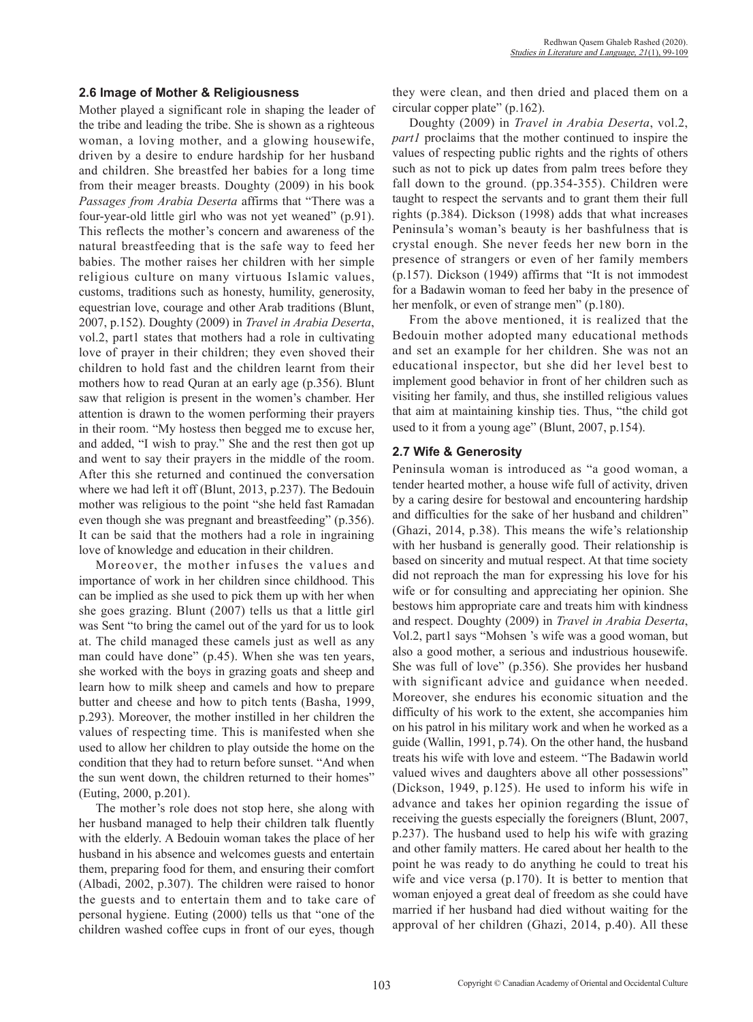#### **2.6 Image of Mother & Religiousness**

Mother played a significant role in shaping the leader of the tribe and leading the tribe. She is shown as a righteous woman, a loving mother, and a glowing housewife, driven by a desire to endure hardship for her husband and children. She breastfed her babies for a long time from their meager breasts. Doughty (2009) in his book *Passages from Arabia Deserta* affirms that "There was a four-year-old little girl who was not yet weaned" (p.91). This reflects the mother's concern and awareness of the natural breastfeeding that is the safe way to feed her babies. The mother raises her children with her simple religious culture on many virtuous Islamic values, customs, traditions such as honesty, humility, generosity, equestrian love, courage and other Arab traditions (Blunt, 2007, p.152). Doughty (2009) in *Travel in Arabia Deserta*, vol.2, part1 states that mothers had a role in cultivating love of prayer in their children; they even shoved their children to hold fast and the children learnt from their mothers how to read Quran at an early age (p.356). Blunt saw that religion is present in the women's chamber. Her attention is drawn to the women performing their prayers in their room. "My hostess then begged me to excuse her, and added, "I wish to pray." She and the rest then got up and went to say their prayers in the middle of the room. After this she returned and continued the conversation where we had left it off (Blunt, 2013, p.237). The Bedouin mother was religious to the point "she held fast Ramadan even though she was pregnant and breastfeeding" (p.356). It can be said that the mothers had a role in ingraining love of knowledge and education in their children.

Moreover, the mother infuses the values and importance of work in her children since childhood. This can be implied as she used to pick them up with her when she goes grazing. Blunt (2007) tells us that a little girl was Sent "to bring the camel out of the yard for us to look at. The child managed these camels just as well as any man could have done" (p.45). When she was ten years, she worked with the boys in grazing goats and sheep and learn how to milk sheep and camels and how to prepare butter and cheese and how to pitch tents (Basha, 1999, p.293). Moreover, the mother instilled in her children the values of respecting time. This is manifested when she used to allow her children to play outside the home on the condition that they had to return before sunset. "And when the sun went down, the children returned to their homes" (Euting, 2000, p.201).

The mother's role does not stop here, she along with her husband managed to help their children talk fluently with the elderly. A Bedouin woman takes the place of her husband in his absence and welcomes guests and entertain them, preparing food for them, and ensuring their comfort (Albadi, 2002, p.307). The children were raised to honor the guests and to entertain them and to take care of personal hygiene. Euting (2000) tells us that "one of the children washed coffee cups in front of our eyes, though

they were clean, and then dried and placed them on a circular copper plate" (p.162).

Doughty (2009) in *Travel in Arabia Deserta*, vol.2, *part1* proclaims that the mother continued to inspire the values of respecting public rights and the rights of others such as not to pick up dates from palm trees before they fall down to the ground. (pp.354-355). Children were taught to respect the servants and to grant them their full rights (p.384). Dickson (1998) adds that what increases Peninsula's woman's beauty is her bashfulness that is crystal enough. She never feeds her new born in the presence of strangers or even of her family members (p.157). Dickson (1949) affirms that "It is not immodest for a Badawin woman to feed her baby in the presence of her menfolk, or even of strange men" (p.180).

From the above mentioned, it is realized that the Bedouin mother adopted many educational methods and set an example for her children. She was not an educational inspector, but she did her level best to implement good behavior in front of her children such as visiting her family, and thus, she instilled religious values that aim at maintaining kinship ties. Thus, "the child got used to it from a young age" (Blunt, 2007, p.154).

#### **2.7 Wife & Generosity**

Peninsula woman is introduced as "a good woman, a tender hearted mother, a house wife full of activity, driven by a caring desire for bestowal and encountering hardship and difficulties for the sake of her husband and children" (Ghazi, 2014, p.38). This means the wife's relationship with her husband is generally good. Their relationship is based on sincerity and mutual respect. At that time society did not reproach the man for expressing his love for his wife or for consulting and appreciating her opinion. She bestows him appropriate care and treats him with kindness and respect. Doughty (2009) in *Travel in Arabia Deserta*, Vol.2, part1 says "Mohsen 's wife was a good woman, but also a good mother, a serious and industrious housewife. She was full of love" (p.356). She provides her husband with significant advice and guidance when needed. Moreover, she endures his economic situation and the difficulty of his work to the extent, she accompanies him on his patrol in his military work and when he worked as a guide (Wallin, 1991, p.74). On the other hand, the husband treats his wife with love and esteem. "The Badawin world valued wives and daughters above all other possessions" (Dickson, 1949, p.125). He used to inform his wife in advance and takes her opinion regarding the issue of receiving the guests especially the foreigners (Blunt, 2007, p.237). The husband used to help his wife with grazing and other family matters. He cared about her health to the point he was ready to do anything he could to treat his wife and vice versa (p.170). It is better to mention that woman enjoyed a great deal of freedom as she could have married if her husband had died without waiting for the approval of her children (Ghazi, 2014, p.40). All these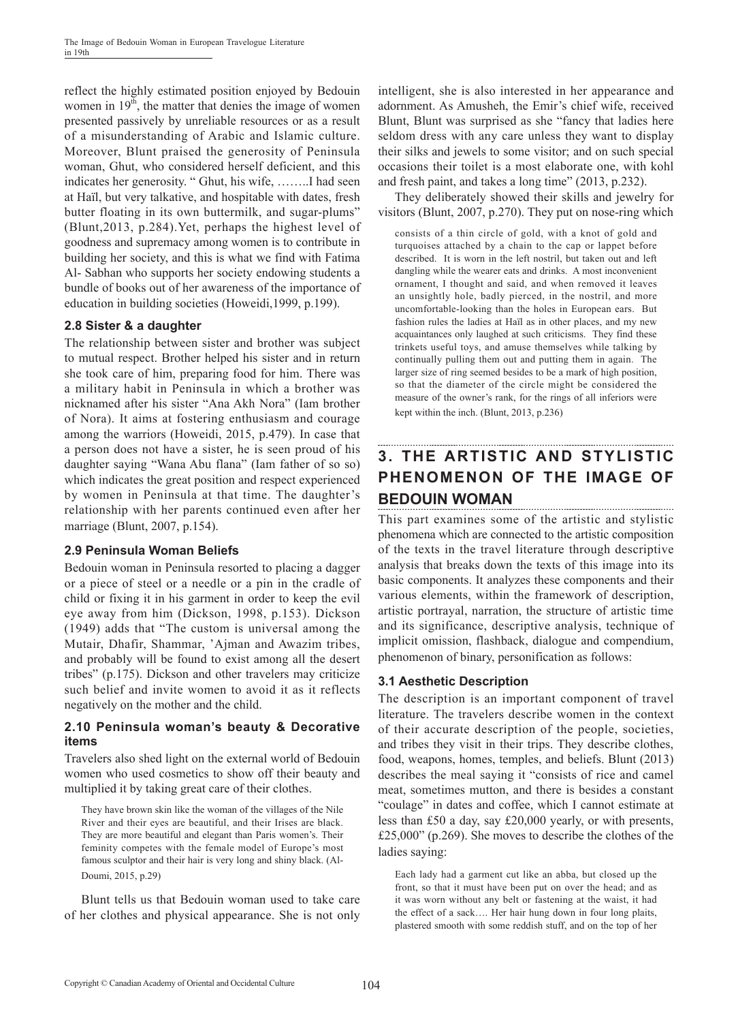reflect the highly estimated position enjoyed by Bedouin women in  $19<sup>th</sup>$ , the matter that denies the image of women presented passively by unreliable resources or as a result of a misunderstanding of Arabic and Islamic culture. Moreover, Blunt praised the generosity of Peninsula woman, Ghut, who considered herself deficient, and this indicates her generosity. " Ghut, his wife, ……..I had seen at Haïl, but very talkative, and hospitable with dates, fresh butter floating in its own buttermilk, and sugar-plums" (Blunt,2013, p.284).Yet, perhaps the highest level of goodness and supremacy among women is to contribute in building her society, and this is what we find with Fatima Al- Sabhan who supports her society endowing students a bundle of books out of her awareness of the importance of education in building societies (Howeidi,1999, p.199).

## **2.8 Sister & a daughter**

The relationship between sister and brother was subject to mutual respect. Brother helped his sister and in return she took care of him, preparing food for him. There was a military habit in Peninsula in which a brother was nicknamed after his sister "Ana Akh Nora" (Iam brother of Nora). It aims at fostering enthusiasm and courage among the warriors (Howeidi, 2015, p.479). In case that a person does not have a sister, he is seen proud of his daughter saying "Wana Abu flana" (Iam father of so so) which indicates the great position and respect experienced by women in Peninsula at that time. The daughter's relationship with her parents continued even after her marriage (Blunt, 2007, p.154).

#### **2.9 Peninsula Woman Beliefs**

Bedouin woman in Peninsula resorted to placing a dagger or a piece of steel or a needle or a pin in the cradle of child or fixing it in his garment in order to keep the evil eye away from him (Dickson, 1998, p.153). Dickson (1949) adds that "The custom is universal among the Mutair, Dhafir, Shammar, 'Ajman and Awazim tribes, and probably will be found to exist among all the desert tribes" (p.175). Dickson and other travelers may criticize such belief and invite women to avoid it as it reflects negatively on the mother and the child.

#### **2.10 Peninsula woman's beauty & Decorative items**

Travelers also shed light on the external world of Bedouin women who used cosmetics to show off their beauty and multiplied it by taking great care of their clothes.

They have brown skin like the woman of the villages of the Nile River and their eyes are beautiful, and their Irises are black. They are more beautiful and elegant than Paris women's. Their feminity competes with the female model of Europe's most famous sculptor and their hair is very long and shiny black. (Al-Doumi, 2015, p.29)

Blunt tells us that Bedouin woman used to take care of her clothes and physical appearance. She is not only

intelligent, she is also interested in her appearance and adornment. As Amusheh, the Emir's chief wife, received Blunt, Blunt was surprised as she "fancy that ladies here seldom dress with any care unless they want to display their silks and jewels to some visitor; and on such special occasions their toilet is a most elaborate one, with kohl and fresh paint, and takes a long time" (2013, p.232).

They deliberately showed their skills and jewelry for visitors (Blunt, 2007, p.270). They put on nose-ring which

consists of a thin circle of gold, with a knot of gold and turquoises attached by a chain to the cap or lappet before described. It is worn in the left nostril, but taken out and left dangling while the wearer eats and drinks. A most inconvenient ornament, I thought and said, and when removed it leaves an unsightly hole, badly pierced, in the nostril, and more uncomfortable-looking than the holes in European ears. But fashion rules the ladies at Haïl as in other places, and my new acquaintances only laughed at such criticisms. They find these trinkets useful toys, and amuse themselves while talking by continually pulling them out and putting them in again. The larger size of ring seemed besides to be a mark of high position, so that the diameter of the circle might be considered the measure of the owner's rank, for the rings of all inferiors were kept within the inch. (Blunt, 2013, p.236)

# **3. THE ARTISTIC AND STYLISTIC PHENOMENON OF THE IMAGE OF BEDOUIN WOMAN**

This part examines some of the artistic and stylistic phenomena which are connected to the artistic composition of the texts in the travel literature through descriptive analysis that breaks down the texts of this image into its basic components. It analyzes these components and their various elements, within the framework of description, artistic portrayal, narration, the structure of artistic time and its significance, descriptive analysis, technique of implicit omission, flashback, dialogue and compendium, phenomenon of binary, personification as follows:

## **3.1 Aesthetic Description**

The description is an important component of travel literature. The travelers describe women in the context of their accurate description of the people, societies, and tribes they visit in their trips. They describe clothes, food, weapons, homes, temples, and beliefs. Blunt (2013) describes the meal saying it "consists of rice and camel meat, sometimes mutton, and there is besides a constant "coulage" in dates and coffee, which I cannot estimate at less than £50 a day, say £20,000 yearly, or with presents, £25,000" (p.269). She moves to describe the clothes of the ladies saying:

Each lady had a garment cut like an abba, but closed up the front, so that it must have been put on over the head; and as it was worn without any belt or fastening at the waist, it had the effect of a sack…. Her hair hung down in four long plaits, plastered smooth with some reddish stuff, and on the top of her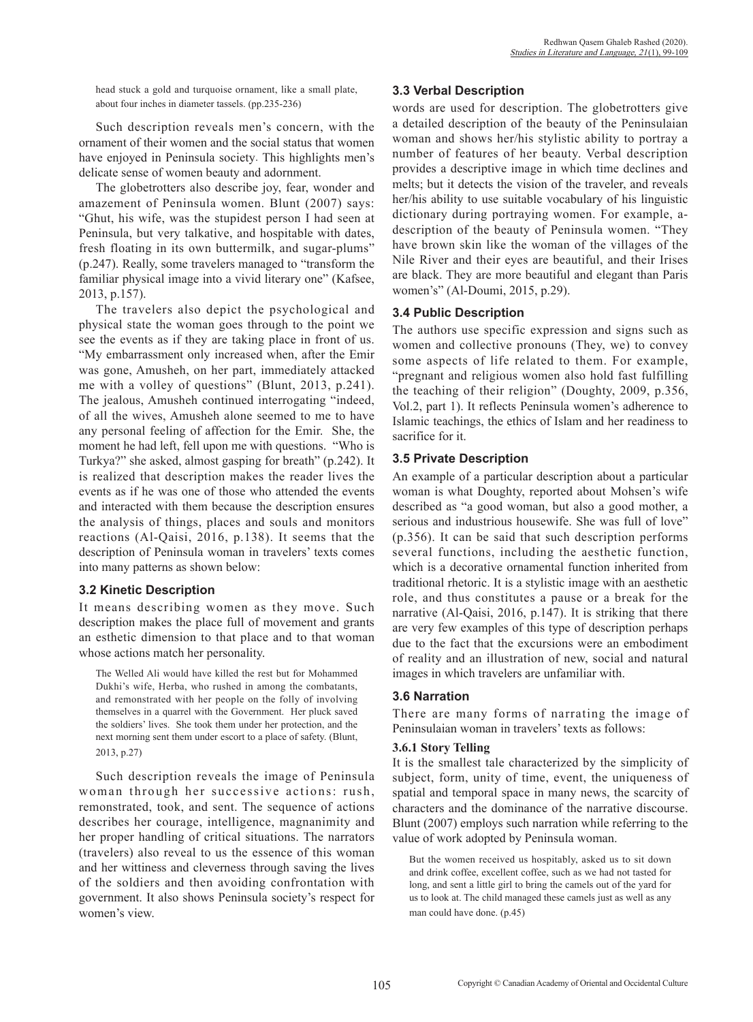head stuck a gold and turquoise ornament, like a small plate, about four inches in diameter tassels. (pp.235-236)

Such description reveals men's concern, with the ornament of their women and the social status that women have enjoyed in Peninsula society. This highlights men's delicate sense of women beauty and adornment.

The globetrotters also describe joy, fear, wonder and amazement of Peninsula women. Blunt (2007) says: "Ghut, his wife, was the stupidest person I had seen at Peninsula, but very talkative, and hospitable with dates, fresh floating in its own buttermilk, and sugar-plums" (p.247). Really, some travelers managed to "transform the familiar physical image into a vivid literary one" (Kafsee, 2013, p.157).

The travelers also depict the psychological and physical state the woman goes through to the point we see the events as if they are taking place in front of us. "My embarrassment only increased when, after the Emir was gone, Amusheh, on her part, immediately attacked me with a volley of questions" (Blunt, 2013, p.241). The jealous, Amusheh continued interrogating "indeed, of all the wives, Amusheh alone seemed to me to have any personal feeling of affection for the Emir. She, the moment he had left, fell upon me with questions. "Who is Turkya?" she asked, almost gasping for breath" (p.242). It is realized that description makes the reader lives the events as if he was one of those who attended the events and interacted with them because the description ensures the analysis of things, places and souls and monitors reactions (Al-Qaisi, 2016, p.138). It seems that the description of Peninsula woman in travelers' texts comes into many patterns as shown below:

#### **3.2 Kinetic Description**

It means describing women as they move. Such description makes the place full of movement and grants an esthetic dimension to that place and to that woman whose actions match her personality.

The Welled Ali would have killed the rest but for Mohammed Dukhi's wife, Herba, who rushed in among the combatants, and remonstrated with her people on the folly of involving themselves in a quarrel with the Government. Her pluck saved the soldiers' lives. She took them under her protection, and the next morning sent them under escort to a place of safety. (Blunt, 2013, p.27)

Such description reveals the image of Peninsula woman through her successive actions: rush, remonstrated, took, and sent. The sequence of actions describes her courage, intelligence, magnanimity and her proper handling of critical situations. The narrators (travelers) also reveal to us the essence of this woman and her wittiness and cleverness through saving the lives of the soldiers and then avoiding confrontation with government. It also shows Peninsula society's respect for women's view.

#### **3.3 Verbal Description**

words are used for description. The globetrotters give a detailed description of the beauty of the Peninsulaian woman and shows her/his stylistic ability to portray a number of features of her beauty. Verbal description provides a descriptive image in which time declines and melts; but it detects the vision of the traveler, and reveals her/his ability to use suitable vocabulary of his linguistic dictionary during portraying women. For example, adescription of the beauty of Peninsula women. "They have brown skin like the woman of the villages of the Nile River and their eyes are beautiful, and their Irises are black. They are more beautiful and elegant than Paris women's" (Al-Doumi, 2015, p.29).

#### **3.4 Public Description**

The authors use specific expression and signs such as women and collective pronouns (They, we) to convey some aspects of life related to them. For example, "pregnant and religious women also hold fast fulfilling the teaching of their religion" (Doughty, 2009, p.356, Vol.2, part 1). It reflects Peninsula women's adherence to Islamic teachings, the ethics of Islam and her readiness to sacrifice for it.

#### **3.5 Private Description**

An example of a particular description about a particular woman is what Doughty, reported about Mohsen's wife described as "a good woman, but also a good mother, a serious and industrious housewife. She was full of love" (p.356). It can be said that such description performs several functions, including the aesthetic function, which is a decorative ornamental function inherited from traditional rhetoric. It is a stylistic image with an aesthetic role, and thus constitutes a pause or a break for the narrative (Al-Qaisi, 2016, p.147). It is striking that there are very few examples of this type of description perhaps due to the fact that the excursions were an embodiment of reality and an illustration of new, social and natural images in which travelers are unfamiliar with.

#### **3.6 Narration**

There are many forms of narrating the image of Peninsulaian woman in travelers' texts as follows:

#### **3.6.1 Story Telling**

It is the smallest tale characterized by the simplicity of subject, form, unity of time, event, the uniqueness of spatial and temporal space in many news, the scarcity of characters and the dominance of the narrative discourse. Blunt (2007) employs such narration while referring to the value of work adopted by Peninsula woman.

But the women received us hospitably, asked us to sit down and drink coffee, excellent coffee, such as we had not tasted for long, and sent a little girl to bring the camels out of the yard for us to look at. The child managed these camels just as well as any man could have done. (p.45)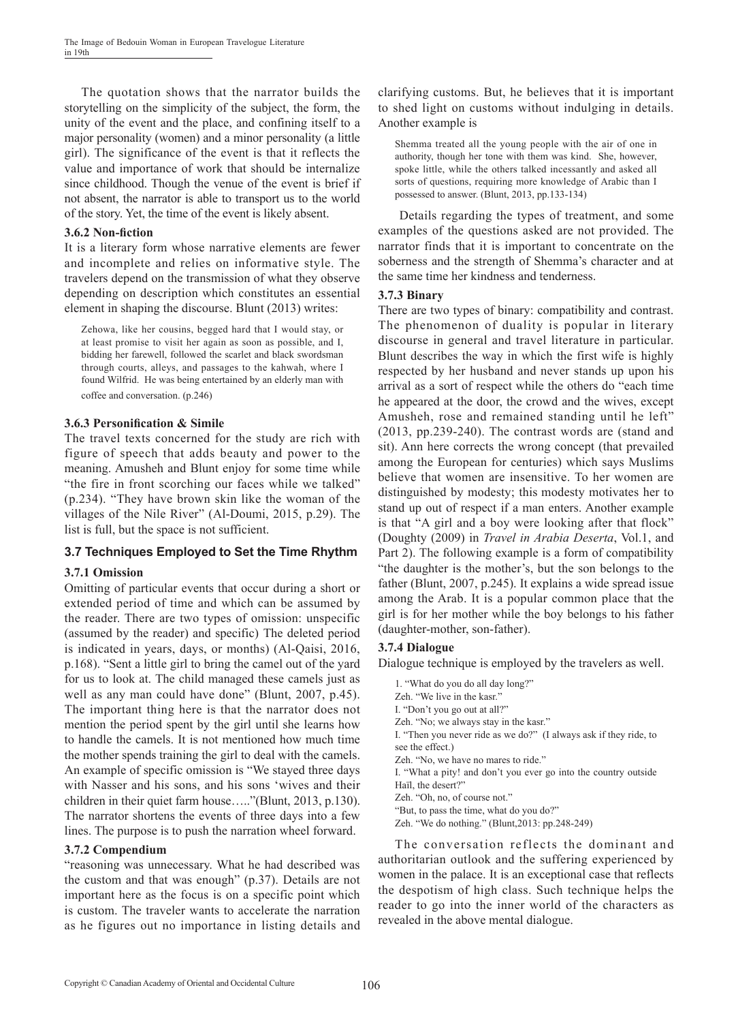The quotation shows that the narrator builds the storytelling on the simplicity of the subject, the form, the unity of the event and the place, and confining itself to a major personality (women) and a minor personality (a little girl). The significance of the event is that it reflects the value and importance of work that should be internalize since childhood. Though the venue of the event is brief if not absent, the narrator is able to transport us to the world of the story. Yet, the time of the event is likely absent.

#### **3.6.2 Non-fiction**

It is a literary form whose narrative elements are fewer and incomplete and relies on informative style. The travelers depend on the transmission of what they observe depending on description which constitutes an essential element in shaping the discourse. Blunt (2013) writes:

Zehowa, like her cousins, begged hard that I would stay, or at least promise to visit her again as soon as possible, and I, bidding her farewell, followed the scarlet and black swordsman through courts, alleys, and passages to the kahwah, where I found Wilfrid. He was being entertained by an elderly man with coffee and conversation. (p.246)

#### **3.6.3 Personification & Simile**

The travel texts concerned for the study are rich with figure of speech that adds beauty and power to the meaning. Amusheh and Blunt enjoy for some time while "the fire in front scorching our faces while we talked" (p.234). "They have brown skin like the woman of the villages of the Nile River" (Al-Doumi, 2015, p.29). The list is full, but the space is not sufficient.

## **3.7 Techniques Employed to Set the Time Rhythm**

#### **3.7.1 Omission**

Omitting of particular events that occur during a short or extended period of time and which can be assumed by the reader. There are two types of omission: unspecific (assumed by the reader) and specific) The deleted period is indicated in years, days, or months) (Al-Qaisi, 2016, p.168). "Sent a little girl to bring the camel out of the yard for us to look at. The child managed these camels just as well as any man could have done" (Blunt, 2007, p.45). The important thing here is that the narrator does not mention the period spent by the girl until she learns how to handle the camels. It is not mentioned how much time the mother spends training the girl to deal with the camels. An example of specific omission is "We stayed three days with Nasser and his sons, and his sons 'wives and their children in their quiet farm house….."(Blunt, 2013, p.130). The narrator shortens the events of three days into a few lines. The purpose is to push the narration wheel forward.

#### **3.7.2 Compendium**

"reasoning was unnecessary. What he had described was the custom and that was enough" (p.37). Details are not important here as the focus is on a specific point which is custom. The traveler wants to accelerate the narration as he figures out no importance in listing details and clarifying customs. But, he believes that it is important to shed light on customs without indulging in details. Another example is

Shemma treated all the young people with the air of one in authority, though her tone with them was kind. She, however, spoke little, while the others talked incessantly and asked all sorts of questions, requiring more knowledge of Arabic than I possessed to answer. (Blunt, 2013, pp.133-134)

 Details regarding the types of treatment, and some examples of the questions asked are not provided. The narrator finds that it is important to concentrate on the soberness and the strength of Shemma's character and at the same time her kindness and tenderness.

#### **3.7.3 Binary**

There are two types of binary: compatibility and contrast. The phenomenon of duality is popular in literary discourse in general and travel literature in particular. Blunt describes the way in which the first wife is highly respected by her husband and never stands up upon his arrival as a sort of respect while the others do "each time he appeared at the door, the crowd and the wives, except Amusheh, rose and remained standing until he left" (2013, pp.239-240). The contrast words are (stand and sit). Ann here corrects the wrong concept (that prevailed among the European for centuries) which says Muslims believe that women are insensitive. To her women are distinguished by modesty; this modesty motivates her to stand up out of respect if a man enters. Another example is that "A girl and a boy were looking after that flock" (Doughty (2009) in *Travel in Arabia Deserta*, Vol.1, and Part 2). The following example is a form of compatibility "the daughter is the mother's, but the son belongs to the father (Blunt, 2007, p.245). It explains a wide spread issue among the Arab. It is a popular common place that the girl is for her mother while the boy belongs to his father (daughter-mother, son-father).

#### **3.7.4 Dialogue**

Dialogue technique is employed by the travelers as well.

1. "What do you do all day long?" Zeh. "We live in the kasr." I. "Don't you go out at all?" Zeh. "No; we always stay in the kasr." I. "Then you never ride as we do?" (I always ask if they ride, to see the effect.) Zeh. "No, we have no mares to ride." I. "What a pity! and don't you ever go into the country outside Haïl, the desert?" Zeh. "Oh, no, of course not." "But, to pass the time, what do you do?" Zeh. "We do nothing." (Blunt,2013: pp.248-249)

The conversation reflects the dominant and authoritarian outlook and the suffering experienced by women in the palace. It is an exceptional case that reflects the despotism of high class. Such technique helps the reader to go into the inner world of the characters as revealed in the above mental dialogue.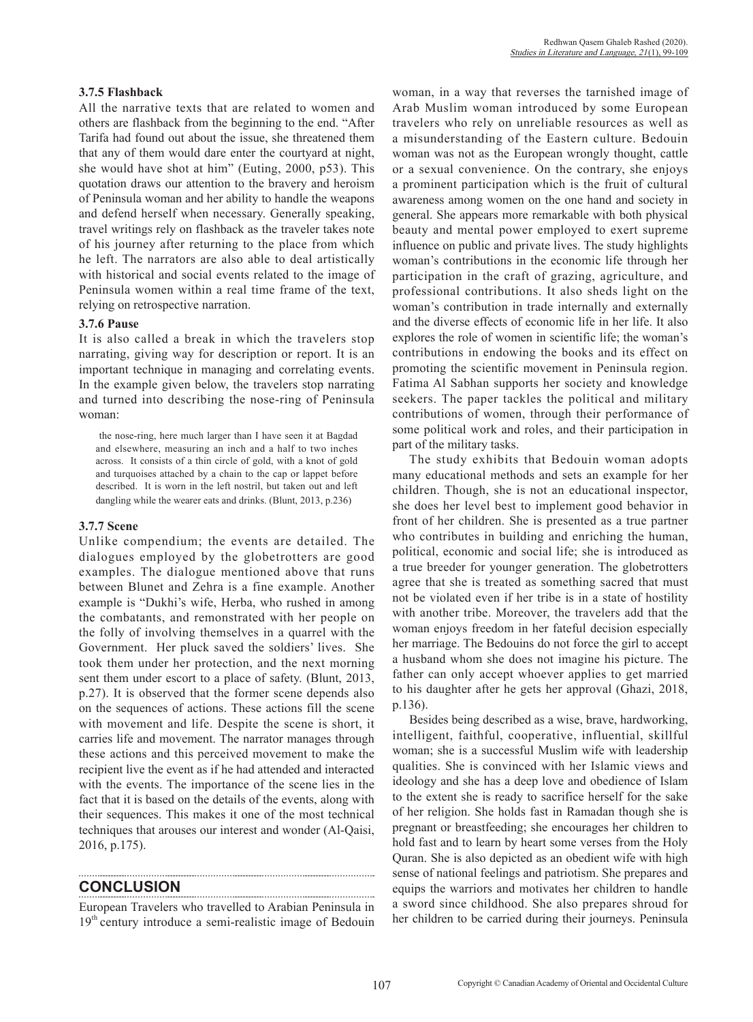#### **3.7.5 Flashback**

All the narrative texts that are related to women and others are flashback from the beginning to the end. "After Tarifa had found out about the issue, she threatened them that any of them would dare enter the courtyard at night, she would have shot at him" (Euting, 2000, p53). This quotation draws our attention to the bravery and heroism of Peninsula woman and her ability to handle the weapons and defend herself when necessary. Generally speaking, travel writings rely on flashback as the traveler takes note of his journey after returning to the place from which he left. The narrators are also able to deal artistically with historical and social events related to the image of Peninsula women within a real time frame of the text, relying on retrospective narration.

#### **3.7.6 Pause**

It is also called a break in which the travelers stop narrating, giving way for description or report. It is an important technique in managing and correlating events. In the example given below, the travelers stop narrating and turned into describing the nose-ring of Peninsula woman:

the nose-ring, here much larger than I have seen it at Bagdad and elsewhere, measuring an inch and a half to two inches across. It consists of a thin circle of gold, with a knot of gold and turquoises attached by a chain to the cap or lappet before described. It is worn in the left nostril, but taken out and left dangling while the wearer eats and drinks. (Blunt, 2013, p.236)

#### **3.7.7 Scene**

Unlike compendium; the events are detailed. The dialogues employed by the globetrotters are good examples. The dialogue mentioned above that runs between Blunet and Zehra is a fine example. Another example is "Dukhi's wife, Herba, who rushed in among the combatants, and remonstrated with her people on the folly of involving themselves in a quarrel with the Government. Her pluck saved the soldiers' lives. She took them under her protection, and the next morning sent them under escort to a place of safety. (Blunt, 2013, p.27). It is observed that the former scene depends also on the sequences of actions. These actions fill the scene with movement and life. Despite the scene is short, it carries life and movement. The narrator manages through these actions and this perceived movement to make the recipient live the event as if he had attended and interacted with the events. The importance of the scene lies in the fact that it is based on the details of the events, along with their sequences. This makes it one of the most technical techniques that arouses our interest and wonder (Al-Qaisi, 2016, p.175).

## **CONCLUSION**

European Travelers who travelled to Arabian Peninsula in 19<sup>th</sup> century introduce a semi-realistic image of Bedouin woman, in a way that reverses the tarnished image of Arab Muslim woman introduced by some European travelers who rely on unreliable resources as well as a misunderstanding of the Eastern culture. Bedouin woman was not as the European wrongly thought, cattle or a sexual convenience. On the contrary, she enjoys a prominent participation which is the fruit of cultural awareness among women on the one hand and society in general. She appears more remarkable with both physical beauty and mental power employed to exert supreme influence on public and private lives. The study highlights woman's contributions in the economic life through her participation in the craft of grazing, agriculture, and professional contributions. It also sheds light on the woman's contribution in trade internally and externally and the diverse effects of economic life in her life. It also explores the role of women in scientific life; the woman's contributions in endowing the books and its effect on promoting the scientific movement in Peninsula region. Fatima Al Sabhan supports her society and knowledge seekers. The paper tackles the political and military contributions of women, through their performance of some political work and roles, and their participation in part of the military tasks.

The study exhibits that Bedouin woman adopts many educational methods and sets an example for her children. Though, she is not an educational inspector, she does her level best to implement good behavior in front of her children. She is presented as a true partner who contributes in building and enriching the human, political, economic and social life; she is introduced as a true breeder for younger generation. The globetrotters agree that she is treated as something sacred that must not be violated even if her tribe is in a state of hostility with another tribe. Moreover, the travelers add that the woman enjoys freedom in her fateful decision especially her marriage. The Bedouins do not force the girl to accept a husband whom she does not imagine his picture. The father can only accept whoever applies to get married to his daughter after he gets her approval (Ghazi, 2018, p.136).

Besides being described as a wise, brave, hardworking, intelligent, faithful, cooperative, influential, skillful woman; she is a successful Muslim wife with leadership qualities. She is convinced with her Islamic views and ideology and she has a deep love and obedience of Islam to the extent she is ready to sacrifice herself for the sake of her religion. She holds fast in Ramadan though she is pregnant or breastfeeding; she encourages her children to hold fast and to learn by heart some verses from the Holy Quran. She is also depicted as an obedient wife with high sense of national feelings and patriotism. She prepares and equips the warriors and motivates her children to handle a sword since childhood. She also prepares shroud for her children to be carried during their journeys. Peninsula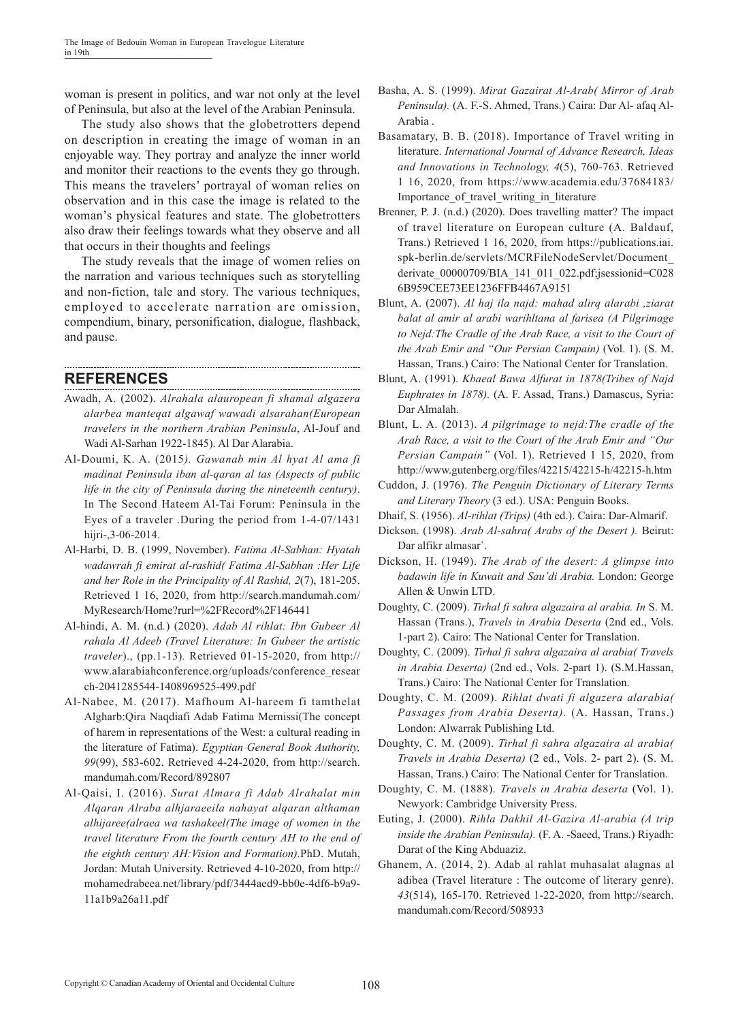woman is present in politics, and war not only at the level of Peninsula, but also at the level of the Arabian Peninsula.

The study also shows that the globetrotters depend on description in creating the image of woman in an enjoyable way. They portray and analyze the inner world and monitor their reactions to the events they go through. This means the travelers' portrayal of woman relies on observation and in this case the image is related to the woman's physical features and state. The globetrotters also draw their feelings towards what they observe and all that occurs in their thoughts and feelings

The study reveals that the image of women relies on the narration and various techniques such as storytelling and non-fiction, tale and story. The various techniques, employed to accelerate narration are omission, compendium, binary, personification, dialogue, flashback, and pause.

## **REFERENCES**

- Awadh, A. (2002). *Alrahala alauropean fi shamal algazera alarbea manteqat algawaf wawadi alsarahan(European travelers in the northern Arabian Peninsula*, Al-Jouf and Wadi Al-Sarhan 1922-1845). Al Dar Alarabia.
- Al-Doumi, K. A. (2015*). Gawanab min Al hyat Al ama fi madinat Peninsula iban al-qaran al tas (Aspects of public life in the city of Peninsula during the nineteenth century)*. In The Second Hateem Al-Tai Forum: Peninsula in the Eyes of a traveler .During the period from 1-4-07/1431 hijri-, 3-06-2014.
- Al-Harbi, D. B. (1999, November). *Fatima Al-Sabhan: Hyatah wadawrah fi emirat al-rashid( Fatima Al-Sabhan :Her Life and her Role in the Principality of Al Rashid, 2*(7), 181-205. Retrieved 1 16, 2020, from http://search.mandumah.com/ MyResearch/Home?rurl=%2FRecord%2F146441
- Al-hindi, A. M. (n.d*.*) (2020). *Adab Al rihlat: Ibn Gubeer Al rahala Al Adeeb (Travel Literature: In Gubeer the artistic traveler*)., (pp.1-13)*.* Retrieved 01-15-2020, from http:// www.alarabiahconference.org/uploads/conference\_resear ch-2041285544-1408969525-499.pdf
- Al-Nabee, M. (2017). Mafhoum Al-hareem fi tamthelat Algharb:Qira Naqdiafi Adab Fatima Mernissi(The concept of harem in representations of the West: a cultural reading in the literature of Fatima). *Egyptian General Book Authority, 99*(99), 583-602. Retrieved 4-24-2020, from http://search. mandumah.com/Record/892807
- Al-Qaisi, I. (2016). *Surat Almara fi Adab Alrahalat min Alqaran Alraba alhjaraeeila nahayat alqaran althaman alhijaree(alraea wa tashakeel(The image of women in the travel literature From the fourth century AH to the end of the eighth century AH:Vision and Formation).*PhD. Mutah, Jordan: Mutah University. Retrieved 4-10-2020, from http:// mohamedrabeea.net/library/pdf/3444aed9-bb0e-4df6-b9a9- 11a1b9a26a11.pdf
- Basha, A. S. (1999). *Mirat Gazairat Al-Arab( Mirror of Arab Peninsula).* (A. F.-S. Ahmed, Trans.) Caira: Dar Al- afaq Al-Arabia .
- Basamatary, B. B. (2018). Importance of Travel writing in literature. *International Journal of Advance Research, Ideas and Innovations in Technology, 4*(5), 760-763. Retrieved 1 16, 2020, from https://www.academia.edu/37684183/ Importance of travel writing in literature
- Brenner, P. J. (n.d.) (2020). Does travelling matter? The impact of travel literature on European culture (A. Baldauf, Trans.) Retrieved 1 16, 2020, from https://publications.iai. spk-berlin.de/servlets/MCRFileNodeServlet/Document\_ derivate\_00000709/BIA\_141\_011\_022.pdf;jsessionid=C028 6B959CEE73EE1236FFB4467A9151
- Blunt, A. (2007). *Al haj ila najd: mahad alirq alarabi ,ziarat balat al amir al arabi warihltana al farisea (A Pilgrimage to Nejd:The Cradle of the Arab Race, a visit to the Court of the Arab Emir and "Our Persian Campain)* (Vol. 1). (S. M. Hassan, Trans.) Cairo: The National Center for Translation.
- Blunt, A. (1991). *Kbaeal Bawa Alfurat in 1878(Tribes of Najd Euphrates in 1878).* (A. F. Assad, Trans.) Damascus, Syria: Dar Almalah.
- Blunt, L. A. (2013). *A pilgrimage to nejd:The cradle of the Arab Race, a visit to the Court of the Arab Emir and "Our Persian Campain"* (Vol. 1). Retrieved 1 15, 2020, from http://www.gutenberg.org/files/42215/42215-h/42215-h.htm
- Cuddon, J. (1976). *The Penguin Dictionary of Literary Terms and Literary Theory* (3 ed.). USA: Penguin Books.
- Dhaif, S. (1956). *Al-rihlat (Trips)* (4th ed.). Caira: Dar-Almarif.
- Dickson. (1998). *Arab Al-sahra( Arabs of the Desert ).* Beirut: Dar alfikr almasar`.
- Dickson, H. (1949). *The Arab of the desert: A glimpse into badawin life in Kuwait and Sau'di Arabia.* London: George Allen & Unwin LTD.
- Doughty, C. (2009). *Tirhal fi sahra algazaira al arabia. In* S. M. Hassan (Trans.), *Travels in Arabia Deserta* (2nd ed., Vols. 1-part 2). Cairo: The National Center for Translation.
- Doughty, C. (2009). *Tirhal fi sahra algazaira al arabia( Travels in Arabia Deserta)* (2nd ed., Vols. 2-part 1). (S.M.Hassan, Trans.) Cairo: The National Center for Translation.
- Doughty, C. M. (2009). *Rihlat dwati fi algazera alarabia( Passages from Arabia Deserta).* (A. Hassan, Trans.) London: Alwarrak Publishing Ltd.
- Doughty, C. M. (2009). *Tirhal fi sahra algazaira al arabia( Travels in Arabia Deserta)* (2 ed., Vols. 2- part 2). (S. M. Hassan, Trans.) Cairo: The National Center for Translation.
- Doughty, C. M. (1888). *Travels in Arabia deserta* (Vol. 1). Newyork: Cambridge University Press.
- Euting, J. (2000). *Rihla Dakhil Al-Gazira Al-arabia (A trip inside the Arabian Peninsula).* (F. A. -Saeed, Trans.) Riyadh: Darat of the King Abduaziz.
- Ghanem, A. (2014, 2). Adab al rahlat muhasalat alagnas al adibea (Travel literature : The outcome of literary genre). *43*(514), 165-170. Retrieved 1-22-2020, from http://search. mandumah.com/Record/508933